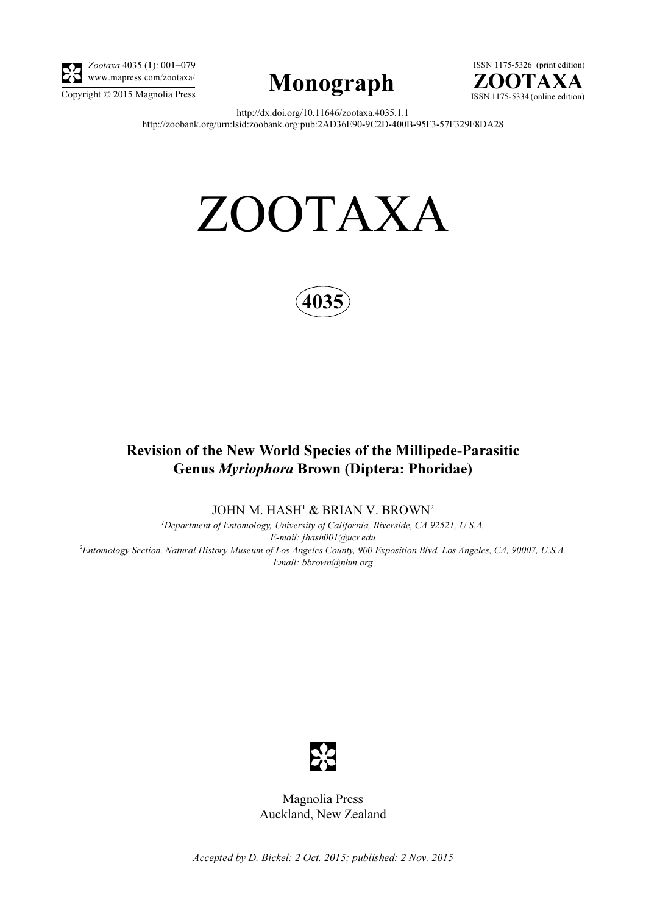

Zootaxa 4035 (1): 001–079 www.mapress.com/zootaxa/





http://dx.doi.org/10.11646/zootaxa.4035.1.1 http://zoobank.org/urn:lsid:zoobank.org:pub:2AD36E90-9C2D-400B-95F3-57F329F8DA28

# ZOOTAXA



## Revision of the New World Species of the Millipede-Parasitic Genus Myriophora Brown (Diptera: Phoridae)

JOHN M. HASH<sup>1</sup> & BRIAN V. BROWN<sup>2</sup>

<sup>1</sup>Department of Entomology, University of California, Riverside, CA 92521, U.S.A. E-mail: jhash001@ucr.edu 2 Entomology Section, Natural History Museum of Los Angeles County, 900 Exposition Blvd, Los Angeles, CA, 90007, U.S.A. Email: bbrown@nhm.org



Magnolia Press Auckland, New Zealand

Accepted by D. Bickel: 2 Oct. 2015; published: 2 Nov. 2015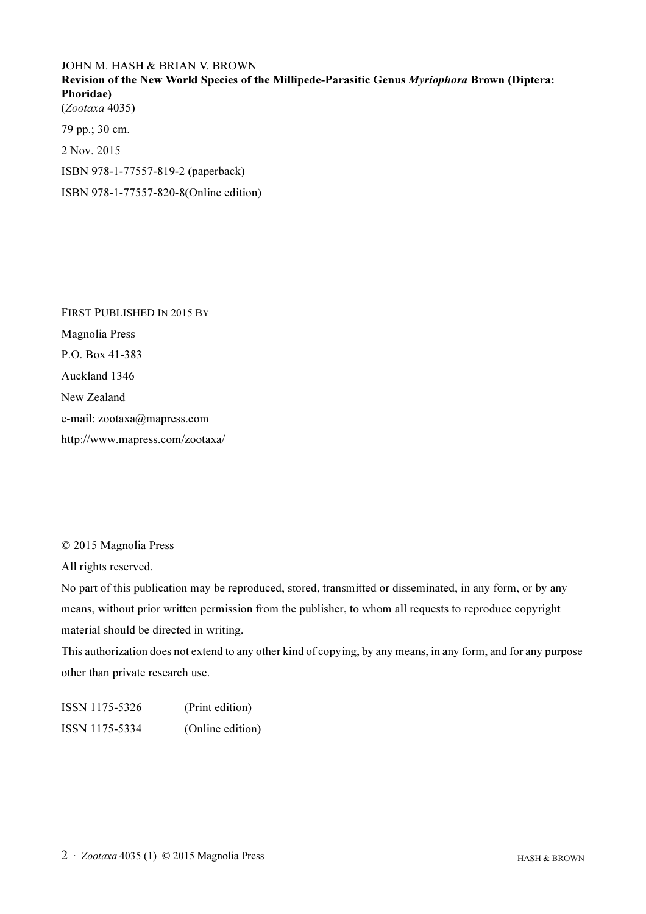### JOHN M. HASH & BRIAN V. BROWN

Revision of the New World Species of the Millipede-Parasitic Genus Myriophora Brown (Diptera: Phoridae) (Zootaxa 4035)

79 pp.; 30 cm. 2 Nov. 2015 ISBN 978-1-77557-819-2 (paperback) ISBN 978-1-77557-820-8(Online edition)

FIRST PUBLISHED IN 2015 BY Magnolia Press P.O. Box 41-383 Auckland 1346 New Zealand e-mail: zootaxa@mapress.com http://www.mapress.com/zootaxa/

© 2015 Magnolia Press

All rights reserved.

No part of this publication may be reproduced, stored, transmitted or disseminated, in any form, or by any means, without prior written permission from the publisher, to whom all requests to reproduce copyright material should be directed in writing.

This authorization does not extend to any other kind of copying, by any means, in any form, and for any purpose other than private research use.

ISSN 1175-5326 (Print edition) ISSN 1175-5334 (Online edition)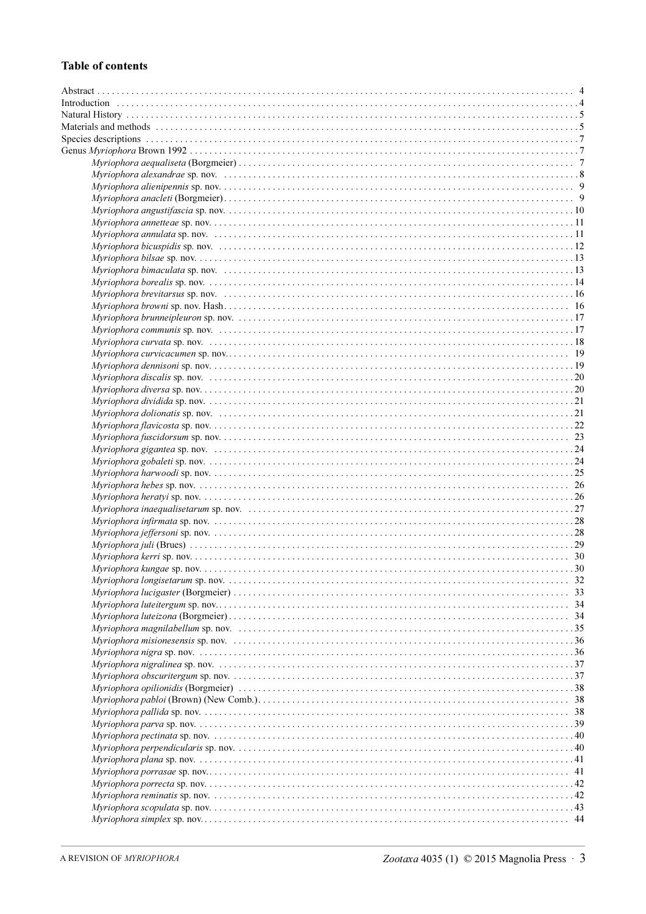#### **Table of contents**